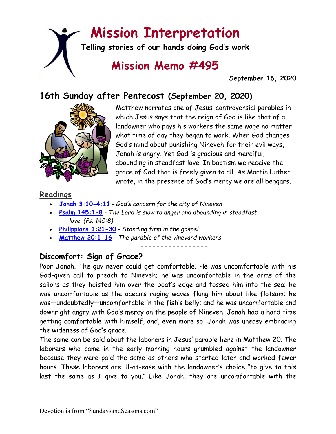# **Mission Interpretation**

**Telling stories of our hands doing God's work**

# **Mission Memo #495**

 **September 16, 2020**

# **16th Sunday after Pentecost (September 20, 2020)**



Matthew narrates one of Jesus' controversial parables in which Jesus says that the reign of God is like that of a landowner who pays his workers the same wage no matter what time of day they began to work. When God changes God's mind about punishing Nineveh for their evil ways, Jonah is angry. Yet God is gracious and merciful, abounding in steadfast love. In baptism we receive the grace of God that is freely given to all. As Martin Luther wrote, in the presence of God's mercy we are all beggars.

#### **Readings**

- **[Jonah 3:10-4:11](https://members.sundaysandseasons.com/)** *God's concern for the city of Nineveh*
- **[Psalm 145:1-8](https://members.sundaysandseasons.com/)** *The Lord is slow to anger and abounding in steadfast love. (Ps. 145:8)*
- **[Philippians 1:21-30](https://members.sundaysandseasons.com/)** *Standing firm in the gospel*
- **[Matthew 20:1-16](https://members.sundaysandseasons.com/)** *The parable of the vineyard workers*

**-----------------**

## **Discomfort: Sign of Grace?**

Poor Jonah. The guy never could get comfortable. He was uncomfortable with his God-given call to preach to Nineveh; he was uncomfortable in the arms of the sailors as they hoisted him over the boat's edge and tossed him into the sea; he was uncomfortable as the ocean's raging waves flung him about like flotsam; he was—undoubtedly—uncomfortable in the fish's belly; and he was uncomfortable and downright angry with God's mercy on the people of Nineveh. Jonah had a hard time getting comfortable with himself, and, even more so, Jonah was uneasy embracing the wideness of God's grace.

The same can be said about the laborers in Jesus' parable here in Matthew 20. The laborers who came in the early morning hours grumbled against the landowner because they were paid the same as others who started later and worked fewer hours. These laborers are ill-at-ease with the landowner's choice "to give to this last the same as I give to you." Like Jonah, they are uncomfortable with the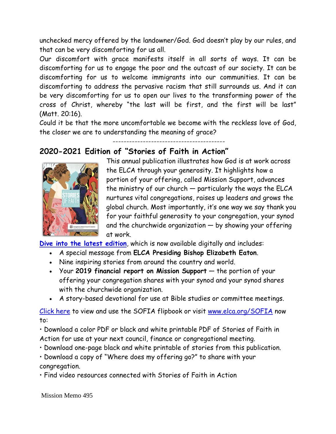unchecked mercy offered by the landowner/God. God doesn't play by our rules, and that can be very discomforting for us all.

Our discomfort with grace manifests itself in all sorts of ways. It can be discomforting for us to engage the poor and the outcast of our society. It can be discomforting for us to welcome immigrants into our communities. It can be discomforting to address the pervasive racism that still surrounds us. And it can be very discomforting for us to open our lives to the transforming power of the cross of Christ, whereby "the last will be first, and the first will be last" (Matt. 20:16).

Could it be that the more uncomfortable we become with the reckless love of God, the closer we are to understanding the meaning of grace?

-----------------------------------------

#### **2020-2021 Edition of "Stories of Faith in Action"**



This annual publication illustrates how God is at work across the ELCA through your generosity. It highlights how a portion of your offering, called Mission Support, advances the ministry of our church — particularly the ways the ELCA nurtures vital congregations, raises up leaders and grows the global church. Most importantly, it's one way we say thank you for your faithful generosity to your congregation, your synod and the churchwide organization — by showing your offering at work.

**[Dive into the latest edition](https://ymlpcl4.net/2d99eebyjaiaehyjsafawuuakaushb/click.php)**, which is now available digitally and includes:

- A special message from **ELCA Presiding Bishop Elizabeth Eaton**.
- Nine inspiring stories from around the country and world.
- Your **2019 financial report on Mission Support** the portion of your offering your congregation shares with your synod and your synod shares with the churchwide organization.
- A story-based devotional for use at Bible studies or committee meetings.

[Click here](https://www.livinglutheran.org/StoriesofFaith/) to view and use the SOFIA flipbook or visit [www.elca.org/SOFIA](http://www.elca.org/SOFIA) now to:

• Download a color PDF or black and white printable PDF of Stories of Faith in Action for use at your next council, finance or congregational meeting.

- Download one-page black and white printable of stories from this publication.
- Download a copy of "Where does my offering go?" to share with your congregation.
- Find video resources connected with Stories of Faith in Action

Mission Memo 495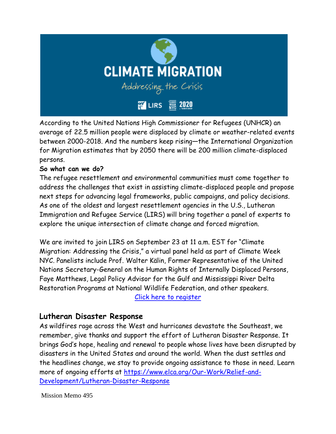

According to the United Nations High Commissioner for Refugees (UNHCR) an average of 22.5 million people were displaced by climate or weather-related events between 2000-2018. And the numbers keep rising—the International Organization for Migration estimates that by 2050 there will be 200 million climate-displaced persons.

#### **So what can we do?**

The refugee resettlement and environmental communities must come together to address the challenges that exist in assisting climate-displaced people and propose next steps for advancing legal frameworks, public campaigns, and policy decisions. As one of the oldest and largest resettlement agencies in the U.S., Lutheran Immigration and Refugee Service (LIRS) will bring together a panel of experts to explore the unique intersection of climate change and forced migration.

We are invited to join LIRS on September 23 at 11 a.m. EST for "Climate Migration: Addressing the Crisis," a virtual panel held as part of Climate Week NYC. Panelists include Prof. Walter Kälin, Former Representative of the United Nations Secretary-General on the Human Rights of Internally Displaced Persons, Faye Matthews, Legal Policy Advisor for the Gulf and Mississippi River Delta Restoration Programs at National Wildlife Federation, and other speakers. [Click here to register](https://us02web.zoom.us/webinar/register/WN_w2zZQTzZRyyLl40iPBRUdQ?mc_cid=d82549ea9b&mc_eid=9d05c2cfd9)

#### **Lutheran Disaster Response**

As wildfires rage across the West and hurricanes devastate the Southeast, we remember, give thanks and support the effort of Lutheran Disaster Response. It brings God's hope, healing and renewal to people whose lives have been disrupted by disasters in the United States and around the world. When the dust settles and the headlines change, we stay to provide ongoing assistance to those in need. Learn more of ongoing efforts at [https://www.elca.org/Our-Work/Relief-and-](https://www.elca.org/Our-Work/Relief-and-Development/Lutheran-Disaster-Response)[Development/Lutheran-Disaster-Response](https://www.elca.org/Our-Work/Relief-and-Development/Lutheran-Disaster-Response)

Mission Memo 495